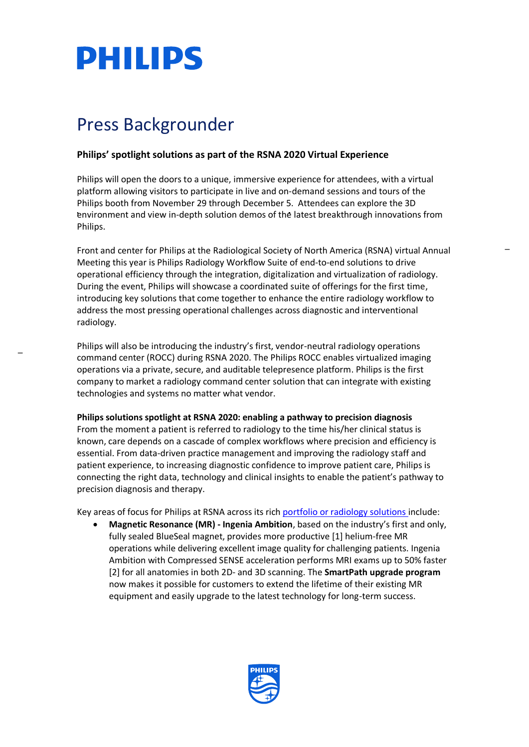

## Press Backgrounder

### **Philips' spotlight solutions as part of the RSNA 2020 Virtual Experience**

Philips will open the doors to a unique, immersive experience for attendees, with a virtual platform allowing visitors to participate in live and on-demand sessions and tours of the Philips booth from November 29 through December 5. Attendees can explore the 3D environment and view in-depth solution demos of the latest breakthrough innovations from Philips.

Front and center for Philips at the Radiological Society of North America (RSNA) virtual Annual Meeting this year is Philips Radiology Workflow Suite of end-to-end solutions to drive operational efficiency through the integration, digitalization and virtualization of radiology. During the event, Philips will showcase a coordinated suite of offerings for the first time, introducing key solutions that come together to enhance the entire radiology workflow to address the most pressing operational challenges across diagnostic and interventional radiology.

 $\overline{a}$ 

Philips will also be introducing the industry's first, vendor-neutral radiology operations command center (ROCC) during RSNA 2020. The Philips ROCC enables virtualized imaging operations via a private, secure, and auditable telepresence platform. Philips is the first company to market a radiology command center solution that can integrate with existing technologies and systems no matter what vendor.

#### **Philips solutions spotlight at RSNA 2020: enabling a pathway to precision diagnosis**

From the moment a patient is referred to radiology to the time his/her clinical status is known, care depends on a cascade of complex workflows where precision and efficiency is essential. From data-driven practice management and improving the radiology staff and patient experience, to increasing diagnostic confidence to improve patient care, Philips is connecting the right data, technology and clinical insights to enable the patient's pathway to precision diagnosis and therapy.

Key areas of focus for Philips at RSNA across its rich [portfolio or radiology solutions i](https://www.usa.philips.com/healthcare/medical-specialties/radiology)nclude:

<span id="page-0-0"></span> **Magnetic Resonance (MR) - Ingenia Ambition**, based on the industry's first and only, fully sealed BlueSeal magnet, provides more productive [1] helium-free MR operations while delivering excellent image quality for challenging patients. Ingenia Ambition with Compressed SENSE acceleration performs MRI exams up to 50% faster [2] for all anatomies in both 2D- and 3D scanning. The **SmartPath upgrade program** now makes it possible for customers to extend the lifetime of their existing MR equipment and easily upgrade to the latest technology for long-term success.